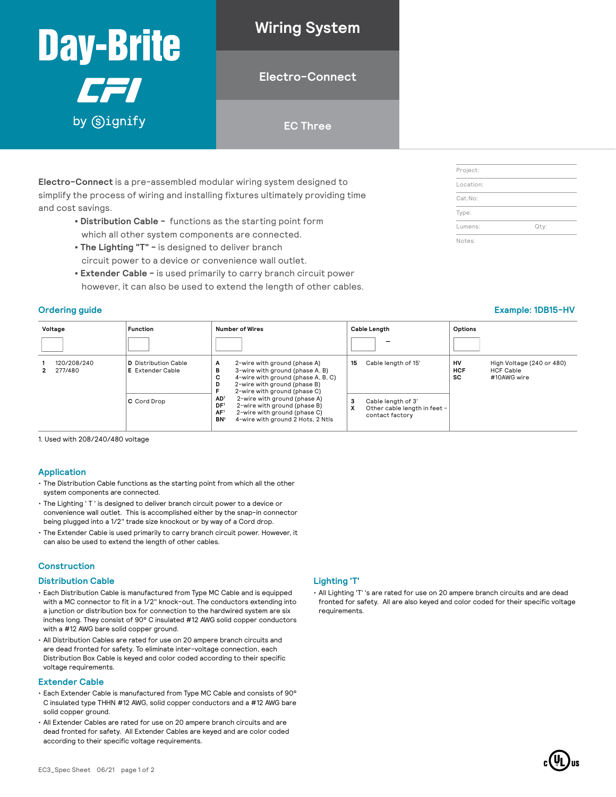## **Wiring System Day-Brite**

### **Electro-Connect**

#### **EC Three**

**Electro-Connect** is a pre-assembled modular wiring system designed to simplify the process of wiring and installing fixtures ultimately providing time and cost savings.

- **Distribution Cable** functions as the starting point form which all other system components are connected.
- **The Lighting "T"** is designed to deliver branch circuit power to a device or convenience wall outlet.
- **Extender Cable** is used primarily to carry branch circuit power however, it can also be used to extend the length of other cables.

CFI

by Gignify

**Voltage Function Number of Wires Cable Length**  $\|$ **Options 1** 120/208/240 **2** 277/480 **D** Distribution Cable **E** Extender Cable **A** 2-wire with ground (phase A) **B** 3-wire with ground (phase A, B) **C** 4-wire with ground (phase A, B, C) **D** 2-wire with ground (phase B) **F** 2-wire with ground (phase C) **AD1** 2-wire with ground (phase A) **C** Cord Drop **3** Cable length of 3' **DF1** 2-wire with ground (phase B) **AF1** 2-wire with ground (phase C) **BN1** 4-wire with ground 2 Hots, 2 Ntls 15 Cable length of 15' **HV** High Voltage (240 or 480) **HCF** HCF Cable<br>**SC** #10AWG w #10AWG wire **X** Other cable length in feet contact factory

1. Used with 208/240/480 voltage

#### **Application**

- The Distribution Cable functions as the starting point from which all the other system components are connected.
- The Lighting ' T ' is designed to deliver branch circuit power to a device or convenience wall outlet. This is accomplished either by the snap-in connector being plugged into a 1/2" trade size knockout or by way of a Cord drop.
- The Extender Cable is used primarily to carry branch circuit power. However, it can also be used to extend the length of other cables.

#### **Construction**

#### **Distribution Cable**

- Each Distribution Cable is manufactured from Type MC Cable and is equipped with a MC connector to fit in a 1/2" knock-out. The conductors extending into a junction or distribution box for connection to the hardwired system are six inches long. They consist of 90° C insulated #12 AWG solid copper conductors with a #12 AWG bare solid copper ground.
- All Distribution Cables are rated for use on 20 ampere branch circuits and are dead fronted for safety. To eliminate inter-voltage connection, each Distribution Box Cable is keyed and color coded according to their specific voltage requirements.

#### **Extender Cable**

- Each Extender Cable is manufactured from Type MC Cable and consists of 90° C insulated type THHN #12 AWG, solid copper conductors and a #12 AWG bare solid copper ground.
- All Extender Cables are rated for use on 20 ampere branch circuits and are dead fronted for safety. All Extender Cables are keyed and are color coded according to their specific voltage requirements.

#### **Lighting 'T'**

• All Lighting 'T' 's are rated for use on 20 ampere branch circuits and are dead fronted for safety. All are also keyed and color coded for their specific voltage requirements.

| Project:  |      |
|-----------|------|
| Location: |      |
| Cat.No:   |      |
| Type:     |      |
| Lumens:   | Qty: |
| Notes:    |      |

#### **Ordering guide Example: 1DB15-HV**